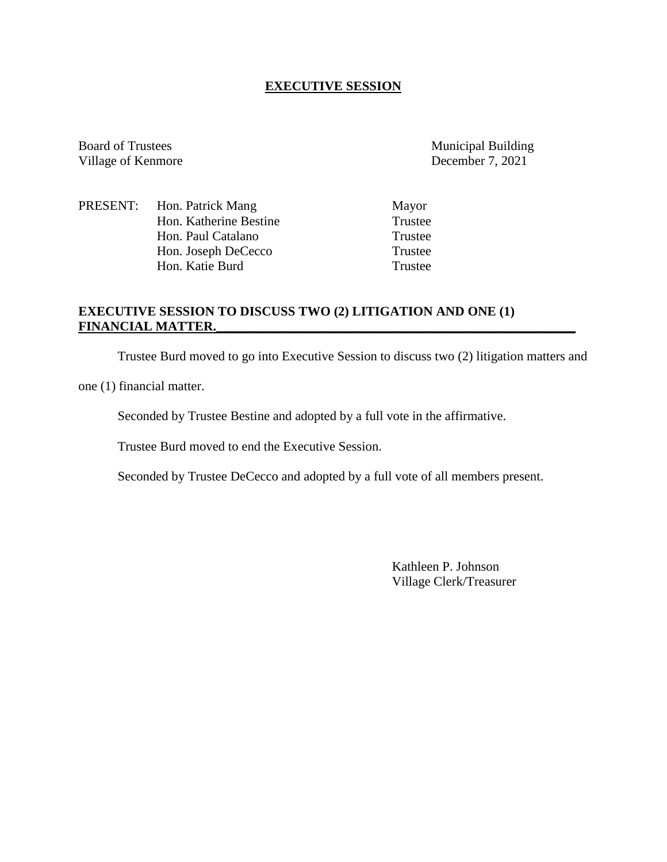## **EXECUTIVE SESSION**

Board of Trustees Municipal Building Village of Kenmore December 7, 2021

PRESENT: Hon. Patrick Mang Mayor Hon. Katherine Bestine Trustee<br>
Hon. Paul Catalano<br>
Trustee Hon. Paul Catalano Hon. Joseph DeCecco Trustee Hon. Katie Burd Trustee

## **EXECUTIVE SESSION TO DISCUSS TWO (2) LITIGATION AND ONE (1) FINANCIAL MATTER.\_\_\_\_\_\_\_\_\_\_\_\_\_\_\_\_\_\_\_\_\_\_\_\_\_\_\_\_\_\_\_\_\_\_\_\_\_\_\_\_\_\_\_\_\_\_\_\_\_\_\_\_\_\_\_**

Trustee Burd moved to go into Executive Session to discuss two (2) litigation matters and

one (1) financial matter.

Seconded by Trustee Bestine and adopted by a full vote in the affirmative.

Trustee Burd moved to end the Executive Session.

Seconded by Trustee DeCecco and adopted by a full vote of all members present.

Kathleen P. Johnson Village Clerk/Treasurer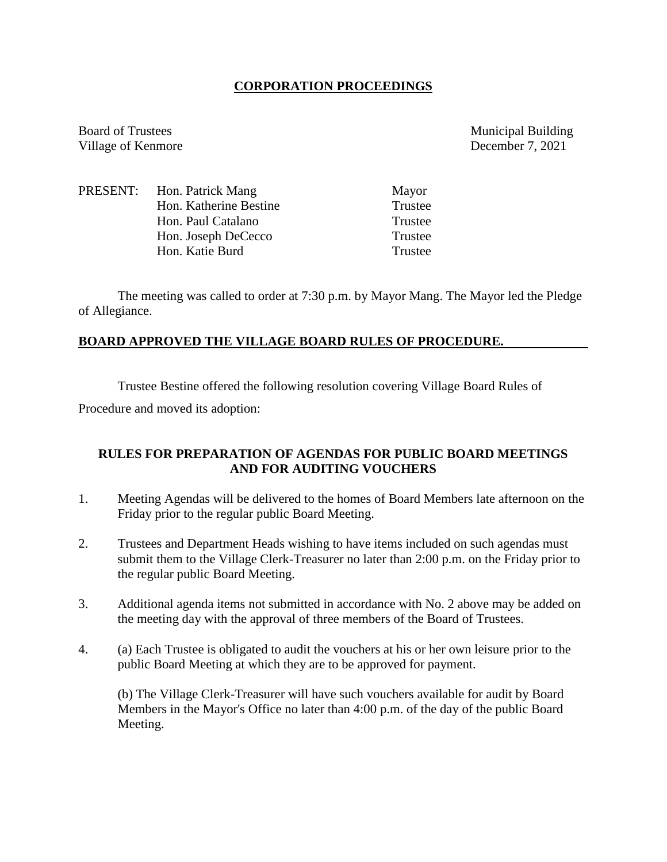## **CORPORATION PROCEEDINGS**

Board of Trustees Municipal Building Village of Kenmore<br>
December 7, 2021

| PRESENT: Hon. Patrick Mang | Mayor   |
|----------------------------|---------|
| Hon. Katherine Bestine     | Trustee |
| Hon. Paul Catalano         | Trustee |
| Hon. Joseph DeCecco        | Trustee |
| Hon. Katie Burd            | Trustee |
|                            |         |

The meeting was called to order at 7:30 p.m. by Mayor Mang. The Mayor led the Pledge of Allegiance.

## **BOARD APPROVED THE VILLAGE BOARD RULES OF PROCEDURE.**

Trustee Bestine offered the following resolution covering Village Board Rules of

Procedure and moved its adoption:

## **RULES FOR PREPARATION OF AGENDAS FOR PUBLIC BOARD MEETINGS AND FOR AUDITING VOUCHERS**

- 1. Meeting Agendas will be delivered to the homes of Board Members late afternoon on the Friday prior to the regular public Board Meeting.
- 2. Trustees and Department Heads wishing to have items included on such agendas must submit them to the Village Clerk-Treasurer no later than 2:00 p.m. on the Friday prior to the regular public Board Meeting.
- 3. Additional agenda items not submitted in accordance with No. 2 above may be added on the meeting day with the approval of three members of the Board of Trustees.
- 4. (a) Each Trustee is obligated to audit the vouchers at his or her own leisure prior to the public Board Meeting at which they are to be approved for payment.

(b) The Village Clerk-Treasurer will have such vouchers available for audit by Board Members in the Mayor's Office no later than 4:00 p.m. of the day of the public Board Meeting.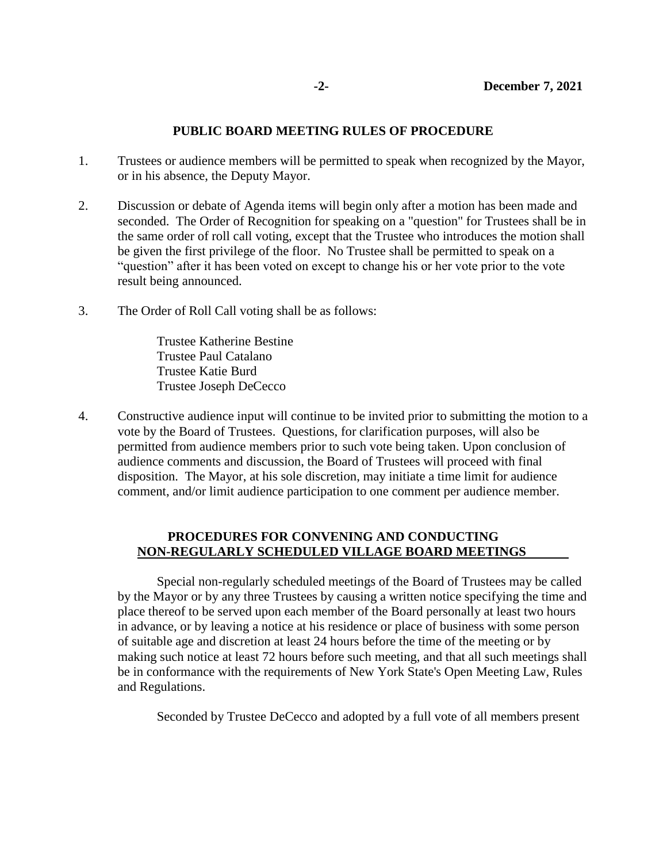## **PUBLIC BOARD MEETING RULES OF PROCEDURE**

- 1. Trustees or audience members will be permitted to speak when recognized by the Mayor, or in his absence, the Deputy Mayor.
- 2. Discussion or debate of Agenda items will begin only after a motion has been made and seconded. The Order of Recognition for speaking on a "question" for Trustees shall be in the same order of roll call voting, except that the Trustee who introduces the motion shall be given the first privilege of the floor. No Trustee shall be permitted to speak on a "question" after it has been voted on except to change his or her vote prior to the vote result being announced.
- 3. The Order of Roll Call voting shall be as follows:

Trustee Katherine Bestine Trustee Paul Catalano Trustee Katie Burd Trustee Joseph DeCecco

4. Constructive audience input will continue to be invited prior to submitting the motion to a vote by the Board of Trustees. Questions, for clarification purposes, will also be permitted from audience members prior to such vote being taken. Upon conclusion of audience comments and discussion, the Board of Trustees will proceed with final disposition. The Mayor, at his sole discretion, may initiate a time limit for audience comment, and/or limit audience participation to one comment per audience member.

## **PROCEDURES FOR CONVENING AND CONDUCTING NON-REGULARLY SCHEDULED VILLAGE BOARD MEETINGS**

Special non-regularly scheduled meetings of the Board of Trustees may be called by the Mayor or by any three Trustees by causing a written notice specifying the time and place thereof to be served upon each member of the Board personally at least two hours in advance, or by leaving a notice at his residence or place of business with some person of suitable age and discretion at least 24 hours before the time of the meeting or by making such notice at least 72 hours before such meeting, and that all such meetings shall be in conformance with the requirements of New York State's Open Meeting Law, Rules and Regulations.

Seconded by Trustee DeCecco and adopted by a full vote of all members present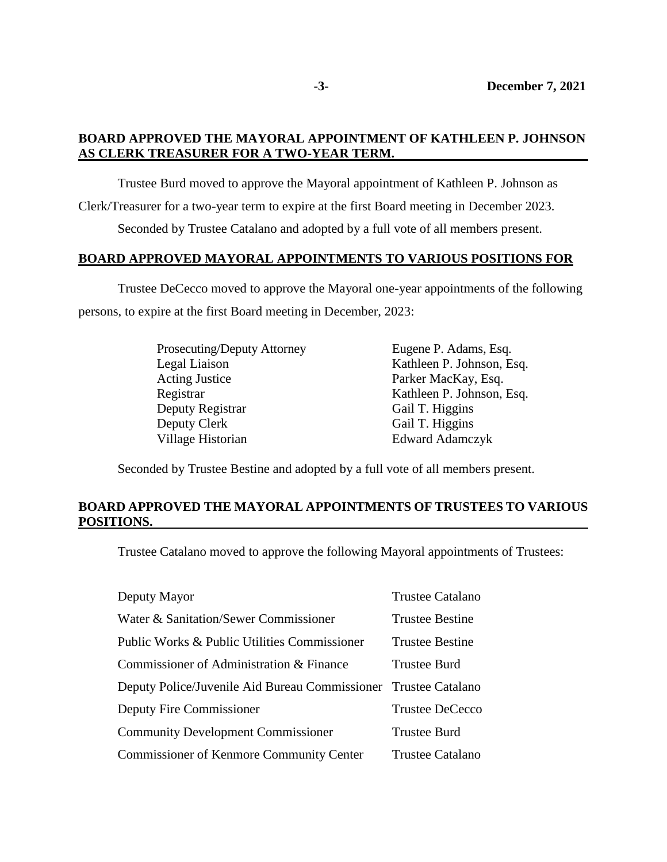## **BOARD APPROVED THE MAYORAL APPOINTMENT OF KATHLEEN P. JOHNSON AS CLERK TREASURER FOR A TWO-YEAR TERM.**

Trustee Burd moved to approve the Mayoral appointment of Kathleen P. Johnson as Clerk/Treasurer for a two-year term to expire at the first Board meeting in December 2023. Seconded by Trustee Catalano and adopted by a full vote of all members present.

#### **BOARD APPROVED MAYORAL APPOINTMENTS TO VARIOUS POSITIONS FOR**

Trustee DeCecco moved to approve the Mayoral one-year appointments of the following persons, to expire at the first Board meeting in December, 2023:

| <b>Prosecuting/Deputy Attorney</b> | Eugene P. Adams, Esq.     |
|------------------------------------|---------------------------|
| Legal Liaison                      | Kathleen P. Johnson, Esq. |
| <b>Acting Justice</b>              | Parker MacKay, Esq.       |
| Registrar                          | Kathleen P. Johnson, Esq. |
| Deputy Registrar                   | Gail T. Higgins           |
| Deputy Clerk                       | Gail T. Higgins           |
| Village Historian                  | <b>Edward Adamczyk</b>    |

Seconded by Trustee Bestine and adopted by a full vote of all members present.

## **BOARD APPROVED THE MAYORAL APPOINTMENTS OF TRUSTEES TO VARIOUS POSITIONS.**

Trustee Catalano moved to approve the following Mayoral appointments of Trustees:

| Deputy Mayor                                                    | <b>Trustee Catalano</b> |
|-----------------------------------------------------------------|-------------------------|
| Water & Sanitation/Sewer Commissioner                           | <b>Trustee Bestine</b>  |
| Public Works & Public Utilities Commissioner                    | <b>Trustee Bestine</b>  |
| Commissioner of Administration & Finance                        | <b>Trustee Burd</b>     |
| Deputy Police/Juvenile Aid Bureau Commissioner Trustee Catalano |                         |
| Deputy Fire Commissioner                                        | Trustee DeCecco         |
| <b>Community Development Commissioner</b>                       | <b>Trustee Burd</b>     |
| <b>Commissioner of Kenmore Community Center</b>                 | Trustee Catalano        |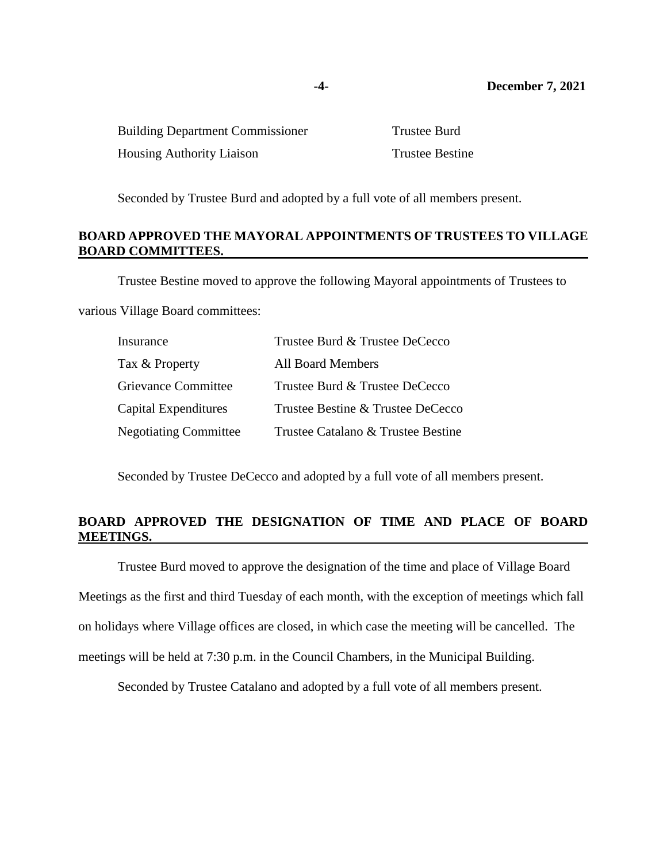| <b>Building Department Commissioner</b> | Trustee Burd           |
|-----------------------------------------|------------------------|
| <b>Housing Authority Liaison</b>        | <b>Trustee Bestine</b> |

Seconded by Trustee Burd and adopted by a full vote of all members present.

## **BOARD APPROVED THE MAYORAL APPOINTMENTS OF TRUSTEES TO VILLAGE BOARD COMMITTEES.**

Trustee Bestine moved to approve the following Mayoral appointments of Trustees to

various Village Board committees:

| Insurance                    | Trustee Burd & Trustee DeCecco     |
|------------------------------|------------------------------------|
| Tax & Property               | <b>All Board Members</b>           |
| <b>Grievance Committee</b>   | Trustee Burd & Trustee DeCecco     |
| Capital Expenditures         | Trustee Bestine & Trustee DeCecco  |
| <b>Negotiating Committee</b> | Trustee Catalano & Trustee Bestine |

Seconded by Trustee DeCecco and adopted by a full vote of all members present.

### **BOARD APPROVED THE DESIGNATION OF TIME AND PLACE OF BOARD MEETINGS.**

Trustee Burd moved to approve the designation of the time and place of Village Board Meetings as the first and third Tuesday of each month, with the exception of meetings which fall on holidays where Village offices are closed, in which case the meeting will be cancelled. The meetings will be held at 7:30 p.m. in the Council Chambers, in the Municipal Building.

Seconded by Trustee Catalano and adopted by a full vote of all members present.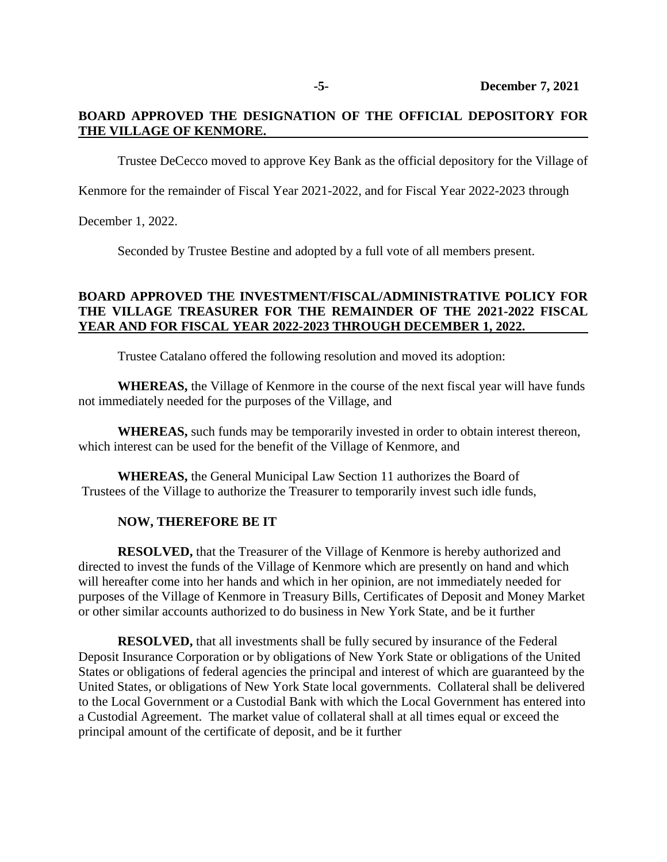### **BOARD APPROVED THE DESIGNATION OF THE OFFICIAL DEPOSITORY FOR THE VILLAGE OF KENMORE.**

Trustee DeCecco moved to approve Key Bank as the official depository for the Village of

Kenmore for the remainder of Fiscal Year 2021-2022, and for Fiscal Year 2022-2023 through

December 1, 2022.

Seconded by Trustee Bestine and adopted by a full vote of all members present.

## **BOARD APPROVED THE INVESTMENT/FISCAL/ADMINISTRATIVE POLICY FOR THE VILLAGE TREASURER FOR THE REMAINDER OF THE 2021-2022 FISCAL YEAR AND FOR FISCAL YEAR 2022-2023 THROUGH DECEMBER 1, 2022.**

Trustee Catalano offered the following resolution and moved its adoption:

**WHEREAS,** the Village of Kenmore in the course of the next fiscal year will have funds not immediately needed for the purposes of the Village, and

**WHEREAS,** such funds may be temporarily invested in order to obtain interest thereon, which interest can be used for the benefit of the Village of Kenmore, and

**WHEREAS,** the General Municipal Law Section 11 authorizes the Board of Trustees of the Village to authorize the Treasurer to temporarily invest such idle funds,

#### **NOW, THEREFORE BE IT**

**RESOLVED,** that the Treasurer of the Village of Kenmore is hereby authorized and directed to invest the funds of the Village of Kenmore which are presently on hand and which will hereafter come into her hands and which in her opinion, are not immediately needed for purposes of the Village of Kenmore in Treasury Bills, Certificates of Deposit and Money Market or other similar accounts authorized to do business in New York State, and be it further

**RESOLVED,** that all investments shall be fully secured by insurance of the Federal Deposit Insurance Corporation or by obligations of New York State or obligations of the United States or obligations of federal agencies the principal and interest of which are guaranteed by the United States, or obligations of New York State local governments. Collateral shall be delivered to the Local Government or a Custodial Bank with which the Local Government has entered into a Custodial Agreement. The market value of collateral shall at all times equal or exceed the principal amount of the certificate of deposit, and be it further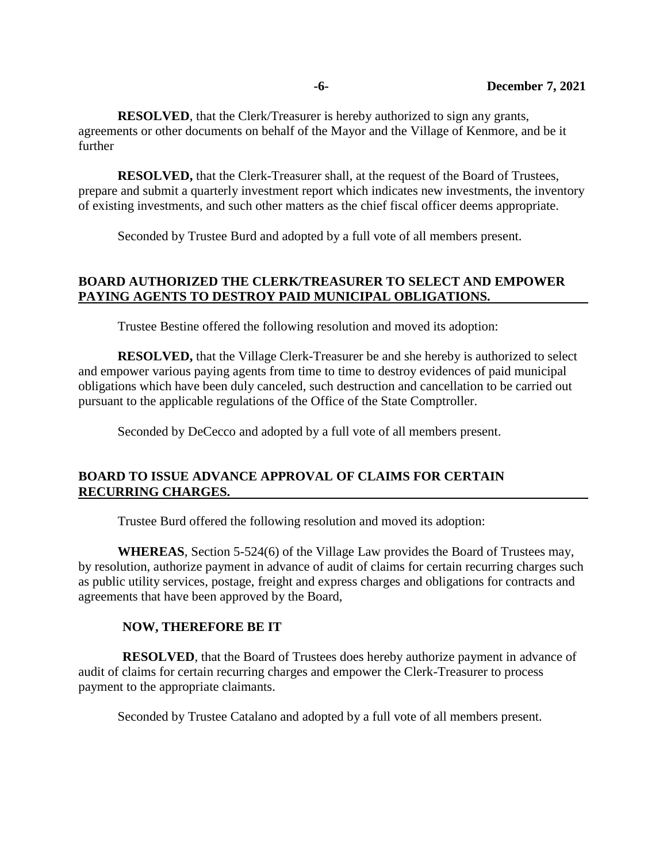**RESOLVED**, that the Clerk/Treasurer is hereby authorized to sign any grants, agreements or other documents on behalf of the Mayor and the Village of Kenmore, and be it further

**RESOLVED,** that the Clerk-Treasurer shall, at the request of the Board of Trustees, prepare and submit a quarterly investment report which indicates new investments, the inventory of existing investments, and such other matters as the chief fiscal officer deems appropriate.

Seconded by Trustee Burd and adopted by a full vote of all members present.

## **BOARD AUTHORIZED THE CLERK/TREASURER TO SELECT AND EMPOWER PAYING AGENTS TO DESTROY PAID MUNICIPAL OBLIGATIONS.**

Trustee Bestine offered the following resolution and moved its adoption:

**RESOLVED,** that the Village Clerk-Treasurer be and she hereby is authorized to select and empower various paying agents from time to time to destroy evidences of paid municipal obligations which have been duly canceled, such destruction and cancellation to be carried out pursuant to the applicable regulations of the Office of the State Comptroller.

Seconded by DeCecco and adopted by a full vote of all members present.

## **BOARD TO ISSUE ADVANCE APPROVAL OF CLAIMS FOR CERTAIN RECURRING CHARGES.**

Trustee Burd offered the following resolution and moved its adoption:

**WHEREAS**, Section 5-524(6) of the Village Law provides the Board of Trustees may, by resolution, authorize payment in advance of audit of claims for certain recurring charges such as public utility services, postage, freight and express charges and obligations for contracts and agreements that have been approved by the Board,

### **NOW, THEREFORE BE IT**

**RESOLVED**, that the Board of Trustees does hereby authorize payment in advance of audit of claims for certain recurring charges and empower the Clerk-Treasurer to process payment to the appropriate claimants.

Seconded by Trustee Catalano and adopted by a full vote of all members present.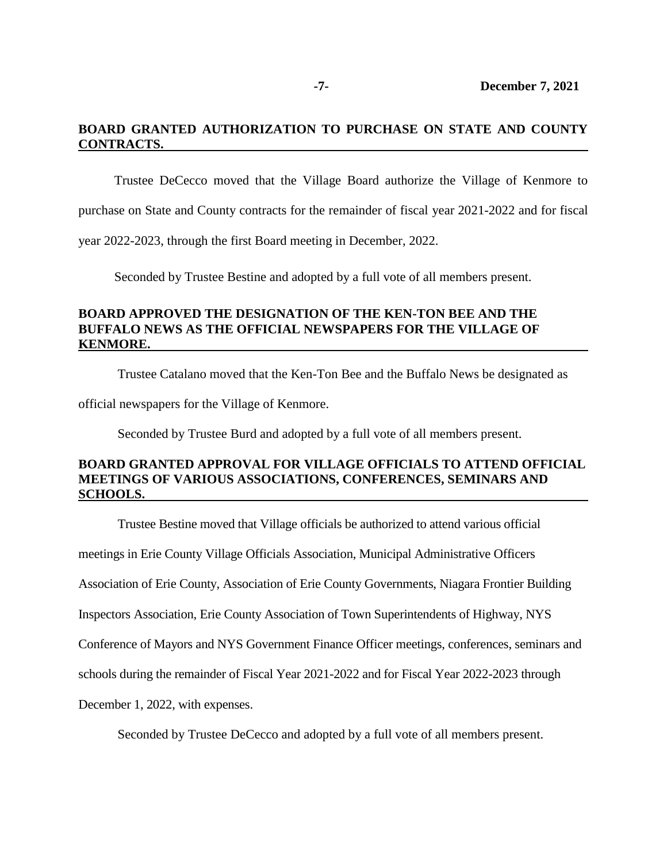## **BOARD GRANTED AUTHORIZATION TO PURCHASE ON STATE AND COUNTY CONTRACTS.**

 Trustee DeCecco moved that the Village Board authorize the Village of Kenmore to purchase on State and County contracts for the remainder of fiscal year 2021-2022 and for fiscal year 2022-2023, through the first Board meeting in December, 2022.

Seconded by Trustee Bestine and adopted by a full vote of all members present.

## **BOARD APPROVED THE DESIGNATION OF THE KEN-TON BEE AND THE BUFFALO NEWS AS THE OFFICIAL NEWSPAPERS FOR THE VILLAGE OF KENMORE.**

Trustee Catalano moved that the Ken-Ton Bee and the Buffalo News be designated as

official newspapers for the Village of Kenmore.

Seconded by Trustee Burd and adopted by a full vote of all members present.

#### **BOARD GRANTED APPROVAL FOR VILLAGE OFFICIALS TO ATTEND OFFICIAL MEETINGS OF VARIOUS ASSOCIATIONS, CONFERENCES, SEMINARS AND SCHOOLS.**

Trustee Bestine moved that Village officials be authorized to attend various official

meetings in Erie County Village Officials Association, Municipal Administrative Officers

Association of Erie County, Association of Erie County Governments, Niagara Frontier Building

Inspectors Association, Erie County Association of Town Superintendents of Highway, NYS

Conference of Mayors and NYS Government Finance Officer meetings, conferences, seminars and

schools during the remainder of Fiscal Year 2021-2022 and for Fiscal Year 2022-2023 through

December 1, 2022, with expenses.

Seconded by Trustee DeCecco and adopted by a full vote of all members present.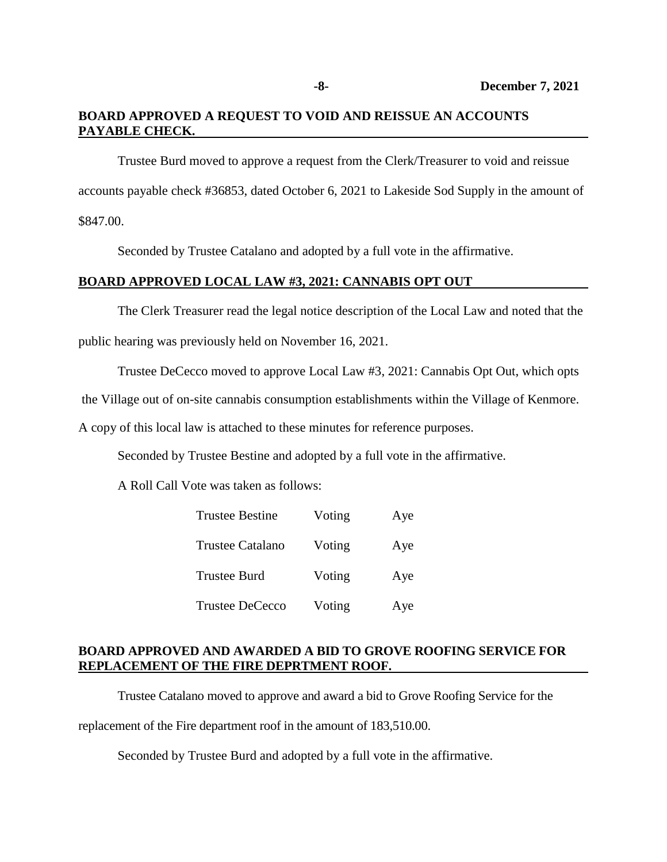## **BOARD APPROVED A REQUEST TO VOID AND REISSUE AN ACCOUNTS PAYABLE CHECK.**

Trustee Burd moved to approve a request from the Clerk/Treasurer to void and reissue accounts payable check #36853, dated October 6, 2021 to Lakeside Sod Supply in the amount of \$847.00.

Seconded by Trustee Catalano and adopted by a full vote in the affirmative.

#### **BOARD APPROVED LOCAL LAW #3, 2021: CANNABIS OPT OUT**

The Clerk Treasurer read the legal notice description of the Local Law and noted that the public hearing was previously held on November 16, 2021.

Trustee DeCecco moved to approve Local Law #3, 2021: Cannabis Opt Out, which opts

the Village out of on-site cannabis consumption establishments within the Village of Kenmore.

A copy of this local law is attached to these minutes for reference purposes.

Seconded by Trustee Bestine and adopted by a full vote in the affirmative.

A Roll Call Vote was taken as follows:

| <b>Trustee Bestine</b> | Voting | Aye |
|------------------------|--------|-----|
| Trustee Catalano       | Voting | Aye |
| <b>Trustee Burd</b>    | Voting | Aye |
| Trustee DeCecco        | Voting | Aye |

#### **BOARD APPROVED AND AWARDED A BID TO GROVE ROOFING SERVICE FOR REPLACEMENT OF THE FIRE DEPRTMENT ROOF.**

Trustee Catalano moved to approve and award a bid to Grove Roofing Service for the

replacement of the Fire department roof in the amount of 183,510.00.

Seconded by Trustee Burd and adopted by a full vote in the affirmative.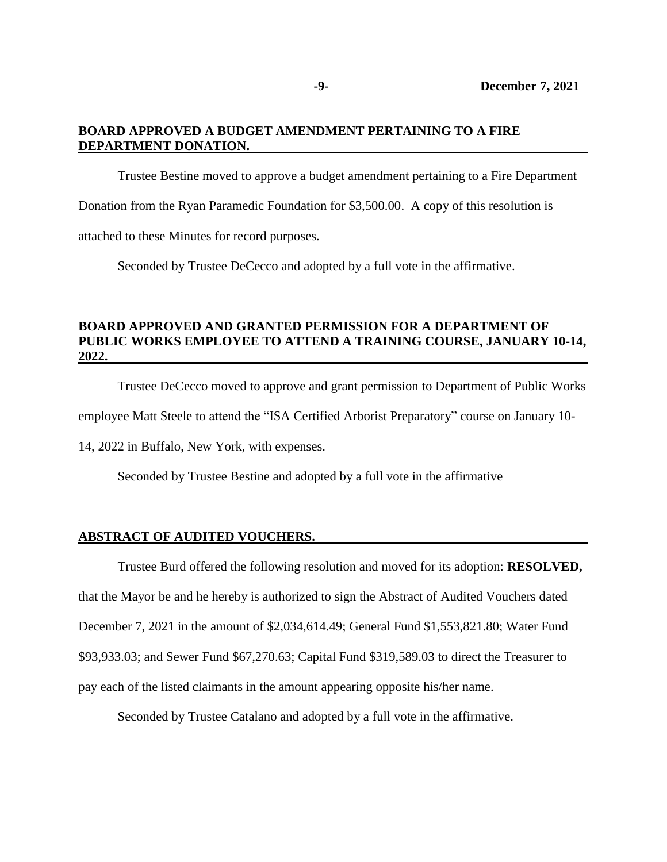#### **BOARD APPROVED A BUDGET AMENDMENT PERTAINING TO A FIRE DEPARTMENT DONATION.**

Trustee Bestine moved to approve a budget amendment pertaining to a Fire Department

Donation from the Ryan Paramedic Foundation for \$3,500.00. A copy of this resolution is

attached to these Minutes for record purposes.

Seconded by Trustee DeCecco and adopted by a full vote in the affirmative.

### **BOARD APPROVED AND GRANTED PERMISSION FOR A DEPARTMENT OF PUBLIC WORKS EMPLOYEE TO ATTEND A TRAINING COURSE, JANUARY 10-14, 2022.**

Trustee DeCecco moved to approve and grant permission to Department of Public Works

employee Matt Steele to attend the "ISA Certified Arborist Preparatory" course on January 10-

14, 2022 in Buffalo, New York, with expenses.

Seconded by Trustee Bestine and adopted by a full vote in the affirmative

#### **ABSTRACT OF AUDITED VOUCHERS.**

Trustee Burd offered the following resolution and moved for its adoption: **RESOLVED,** that the Mayor be and he hereby is authorized to sign the Abstract of Audited Vouchers dated December 7, 2021 in the amount of \$2,034,614.49; General Fund \$1,553,821.80; Water Fund \$93,933.03; and Sewer Fund \$67,270.63; Capital Fund \$319,589.03 to direct the Treasurer to pay each of the listed claimants in the amount appearing opposite his/her name.

Seconded by Trustee Catalano and adopted by a full vote in the affirmative.